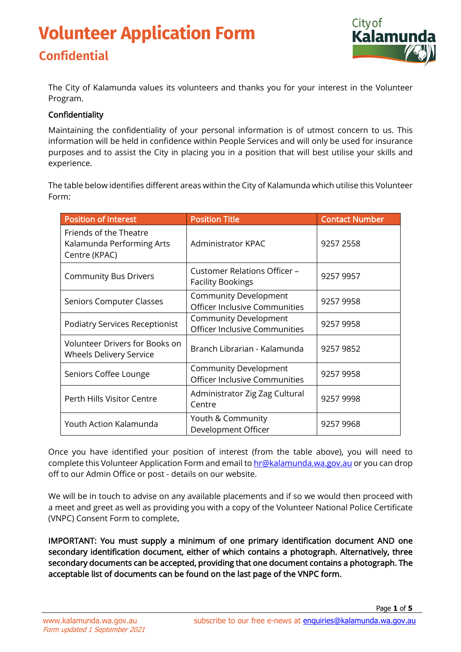# **Volunteer Application Form Confidential**



The City of Kalamunda values its volunteers and thanks you for your interest in the Volunteer Program.

#### Confidentiality

Maintaining the confidentiality of your personal information is of utmost concern to us. This information will be held in confidence within People Services and will only be used for insurance purposes and to assist the City in placing you in a position that will best utilise your skills and experience.

The table below identifies different areas within the City of Kalamunda which utilise this Volunteer Form:

| <b>Position of Interest</b>                                             | <b>Position Title</b>                                         | <b>Contact Number</b> |
|-------------------------------------------------------------------------|---------------------------------------------------------------|-----------------------|
| Friends of the Theatre<br>Kalamunda Performing Arts<br>Centre (KPAC)    | <b>Administrator KPAC</b>                                     | 9257 2558             |
| <b>Community Bus Drivers</b>                                            | Customer Relations Officer -<br><b>Facility Bookings</b>      | 9257 9957             |
| <b>Seniors Computer Classes</b>                                         | <b>Community Development</b><br>Officer Inclusive Communities | 9257 9958             |
| <b>Podiatry Services Receptionist</b>                                   | Community Development<br>Officer Inclusive Communities        | 9257 9958             |
| <b>Volunteer Drivers for Books on</b><br><b>Wheels Delivery Service</b> | Branch Librarian - Kalamunda                                  | 9257 9852             |
| Seniors Coffee Lounge                                                   | <b>Community Development</b><br>Officer Inclusive Communities | 9257 9958             |
| Perth Hills Visitor Centre                                              | Administrator Zig Zag Cultural<br>Centre                      | 9257 9998             |
| Youth Action Kalamunda                                                  | Youth & Community<br>Development Officer                      | 9257 9968             |

Once you have identified your position of interest (from the table above), you will need to complete this Volunteer Application Form and email t[o hr@kalamunda.wa.gov.au](mailto:hr@kalamunda.wa.gov.au) or you can drop off to our Admin Office or post - details on our website.

We will be in touch to advise on any available placements and if so we would then proceed with a meet and greet as well as providing you with a copy of the Volunteer National Police Certificate (VNPC) Consent Form to complete.

IMPORTANT: You must supply a minimum of one primary identification document AND one secondary identification document, either of which contains a photograph. Alternatively, three secondary documents can be accepted, providing that one document contains a photograph. The acceptable list of documents can be found on the last page of the VNPC form.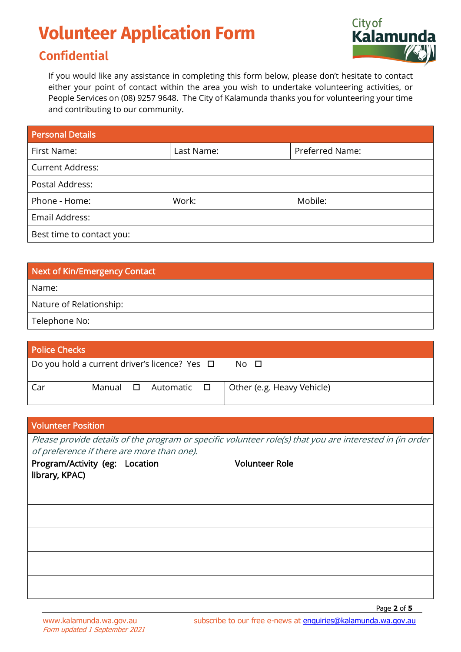### **Confidential**



If you would like any assistance in completing this form below, please don't hesitate to contact either your point of contact within the area you wish to undertake volunteering activities, or People Services on (08) 9257 9648. The City of Kalamunda thanks you for volunteering your time and contributing to our community.

| <b>Personal Details</b>   |            |                 |
|---------------------------|------------|-----------------|
| First Name:               | Last Name: | Preferred Name: |
| <b>Current Address:</b>   |            |                 |
| Postal Address:           |            |                 |
| Phone - Home:             | Work:      | Mobile:         |
| Email Address:            |            |                 |
| Best time to contact you: |            |                 |

| Next of Kin/Emergency Contact |
|-------------------------------|
| Name:                         |
| Nature of Relationship:       |
| Telephone No:                 |

| <b>Police Checks</b>                               |  |                                    |                            |
|----------------------------------------------------|--|------------------------------------|----------------------------|
| Do you hold a current driver's licence? Yes $\Box$ |  |                                    | No O                       |
| Car                                                |  | Manual <b>O</b> Automatic <b>O</b> | Other (e.g. Heavy Vehicle) |

| <b>Volunteer Position</b>                                                                                |          |                       |  |  |
|----------------------------------------------------------------------------------------------------------|----------|-----------------------|--|--|
| Please provide details of the program or specific volunteer role(s) that you are interested in (in order |          |                       |  |  |
| of preference if there are more than one).                                                               |          |                       |  |  |
| Program/Activity (eg:  <br>library, KPAC)                                                                | Location | <b>Volunteer Role</b> |  |  |
|                                                                                                          |          |                       |  |  |
|                                                                                                          |          |                       |  |  |
|                                                                                                          |          |                       |  |  |
|                                                                                                          |          |                       |  |  |
|                                                                                                          |          |                       |  |  |
|                                                                                                          |          |                       |  |  |
|                                                                                                          |          |                       |  |  |
|                                                                                                          |          |                       |  |  |
|                                                                                                          |          |                       |  |  |
|                                                                                                          |          |                       |  |  |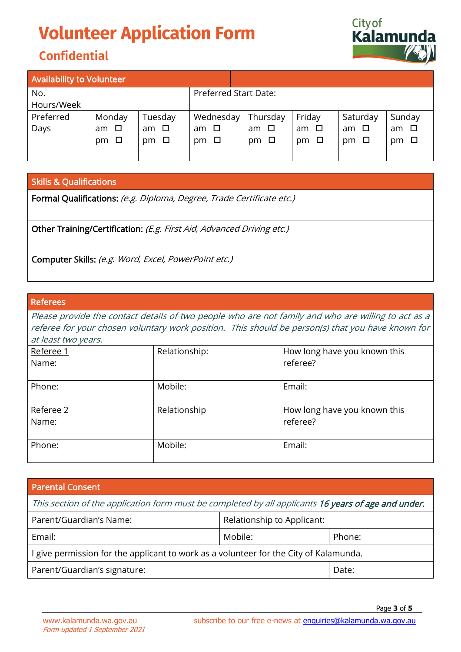## **Confidential**



| <b>Availability to Volunteer</b> |           |              |                              |              |              |           |             |
|----------------------------------|-----------|--------------|------------------------------|--------------|--------------|-----------|-------------|
| No.                              |           |              | <b>Preferred Start Date:</b> |              |              |           |             |
| Hours/Week                       |           |              |                              |              |              |           |             |
| Preferred                        | Monday    | Tuesday      | Wednesday                    | Thursday     | Friday       | Saturday  | Sunday      |
| Days                             | am $\Box$ | $am$ $\Box$  | am □                         | am □         | $\Box$<br>am | am □      | $am$ $\Box$ |
|                                  | $pm \Box$ | $\Box$<br>pm | pm □                         | $\Box$<br>pm | $\Box$<br>pm | pm $\Box$ | pm $\Box$   |
|                                  |           |              |                              |              |              |           |             |

#### Skills & Qualifications

Formal Qualifications: (e.g. Diploma, Degree, Trade Certificate etc.)

Other Training/Certification: (E.g. First Aid, Advanced Driving etc.)

Computer Skills: (e.g. Word, Excel, PowerPoint etc.)

#### Referees

Please provide the contact details of two people who are not family and who are willing to act as a referee for your chosen voluntary work position. This should be person(s) that you have known for at least two years.

| Referee 1<br>Name: | Relationship: | How long have you known this<br>referee? |
|--------------------|---------------|------------------------------------------|
| Phone:             | Mobile:       | Email:                                   |
| Referee 2<br>Name: | Relationship  | How long have you known this<br>referee? |
| Phone:             | Mobile:       | Email:                                   |

| <b>Parental Consent</b>                                                                             |                            |        |  |
|-----------------------------------------------------------------------------------------------------|----------------------------|--------|--|
| This section of the application form must be completed by all applicants 16 years of age and under. |                            |        |  |
| Parent/Guardian's Name:                                                                             | Relationship to Applicant: |        |  |
| Email:                                                                                              | Mobile:                    | Phone: |  |
| I give permission for the applicant to work as a volunteer for the City of Kalamunda.               |                            |        |  |
| Parent/Guardian's signature:                                                                        |                            | Date:  |  |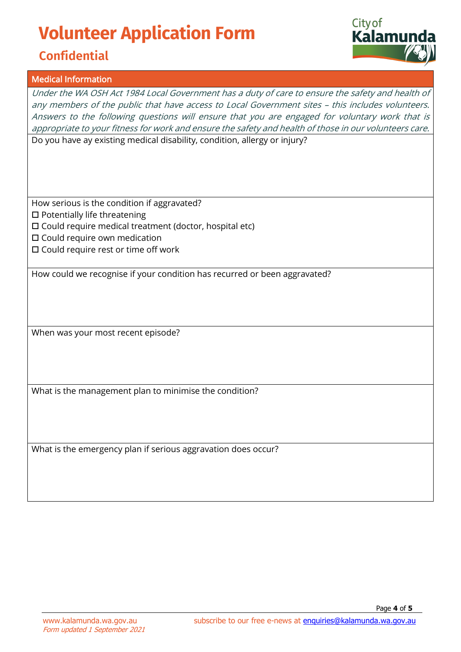## **Confidential**

#### Medical Information

Under the WA OSH Act 1984 Local Government has a duty of care to ensure the safety and health of any members of the public that have access to Local Government sites – this includes volunteers. Answers to the following questions will ensure that you are engaged for voluntary work that is appropriate to your fitness for work and ensure the safety and health of those in our volunteers care. Do you have ay existing medical disability, condition, allergy or injury?

How serious is the condition if aggravated?  $\square$  Potentially life threatening

Could require medical treatment (doctor, hospital etc)

- $\square$  Could require own medication
- $\square$  Could require rest or time off work

How could we recognise if your condition has recurred or been aggravated?

When was your most recent episode?

What is the management plan to minimise the condition?

What is the emergency plan if serious aggravation does occur?